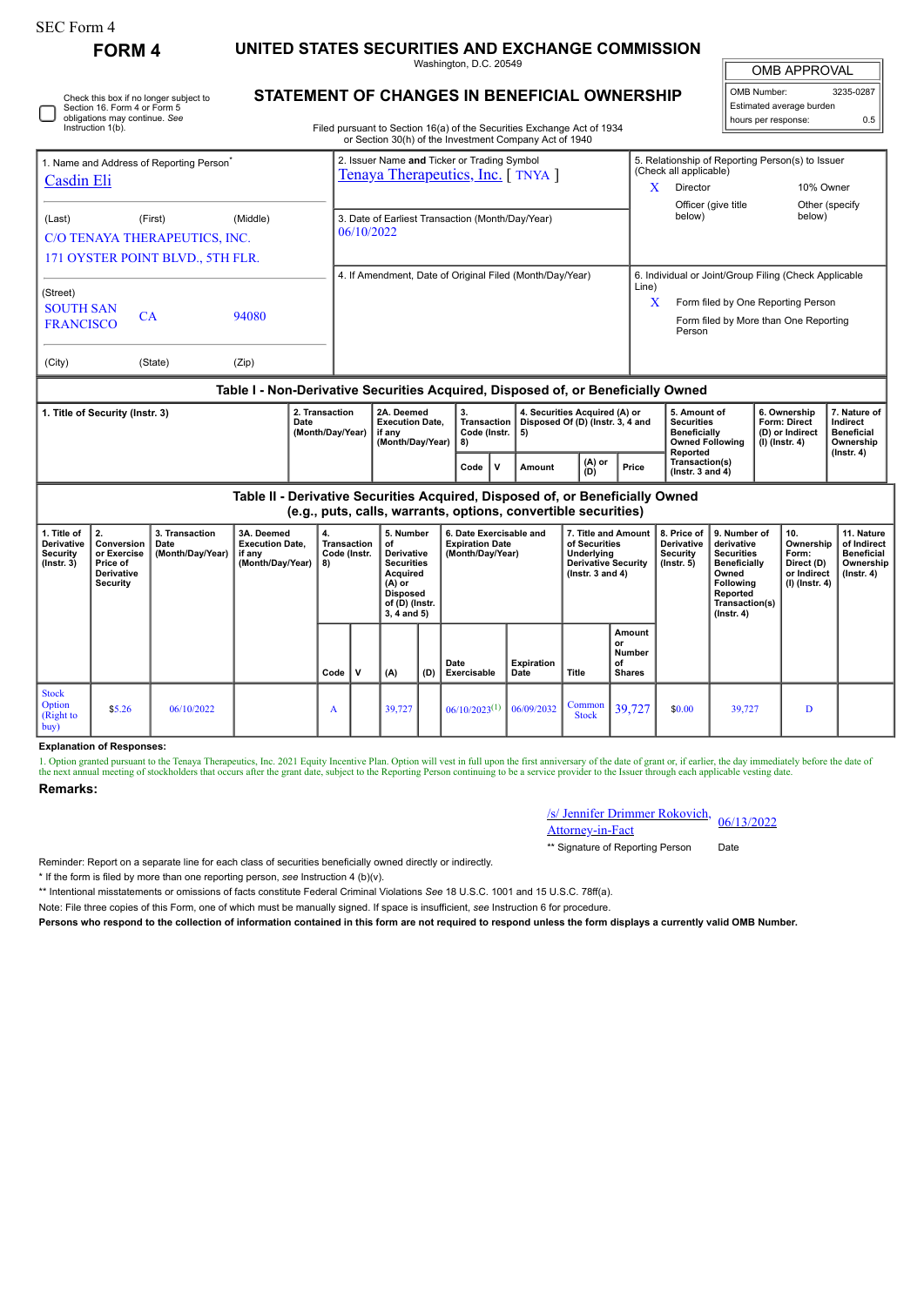| <b>SEC Form 4</b>                                                                                                            |                                                                                                                                                                                                  |  |                                                                               |                                                                            |                                                                                  |                                                                                                                  |                                                                       |                                                                                                                                                                                                          |                                                                                                    |               |                                                                                    |                                                                                                                                                |                     |                                                                            |                                                                           |                  |
|------------------------------------------------------------------------------------------------------------------------------|--------------------------------------------------------------------------------------------------------------------------------------------------------------------------------------------------|--|-------------------------------------------------------------------------------|----------------------------------------------------------------------------|----------------------------------------------------------------------------------|------------------------------------------------------------------------------------------------------------------|-----------------------------------------------------------------------|----------------------------------------------------------------------------------------------------------------------------------------------------------------------------------------------------------|----------------------------------------------------------------------------------------------------|---------------|------------------------------------------------------------------------------------|------------------------------------------------------------------------------------------------------------------------------------------------|---------------------|----------------------------------------------------------------------------|---------------------------------------------------------------------------|------------------|
| <b>FORM 4</b>                                                                                                                |                                                                                                                                                                                                  |  |                                                                               | UNITED STATES SECURITIES AND EXCHANGE COMMISSION<br>Washington, D.C. 20549 |                                                                                  |                                                                                                                  |                                                                       |                                                                                                                                                                                                          |                                                                                                    |               |                                                                                    |                                                                                                                                                |                     | <b>OMB APPROVAL</b>                                                        |                                                                           |                  |
| Check this box if no longer subject to<br>Section 16. Form 4 or Form 5<br>obligations may continue. See<br>Instruction 1(b). |                                                                                                                                                                                                  |  |                                                                               |                                                                            |                                                                                  |                                                                                                                  |                                                                       | <b>STATEMENT OF CHANGES IN BENEFICIAL OWNERSHIP</b><br>Filed pursuant to Section 16(a) of the Securities Exchange Act of 1934<br>or Section 30(h) of the Investment Company Act of 1940                  |                                                                                                    |               |                                                                                    |                                                                                                                                                |                     | OMB Number:<br>hours per response:                                         | Estimated average burden                                                  | 3235-0287<br>0.5 |
| 1. Name and Address of Reporting Person<br>Casdin Eli                                                                        |                                                                                                                                                                                                  |  |                                                                               |                                                                            | 2. Issuer Name and Ticker or Trading Symbol<br>Tenaya Therapeutics, Inc. [TNYA]  |                                                                                                                  |                                                                       |                                                                                                                                                                                                          |                                                                                                    |               |                                                                                    | (Check all applicable)<br>Director<br>X                                                                                                        |                     | 5. Relationship of Reporting Person(s) to Issuer<br>10% Owner              |                                                                           |                  |
| (Middle)<br>(Last)<br>(First)<br>C/O TENAYA THERAPEUTICS, INC.                                                               |                                                                                                                                                                                                  |  |                                                                               |                                                                            | below)<br>3. Date of Earliest Transaction (Month/Day/Year)<br>06/10/2022         |                                                                                                                  |                                                                       |                                                                                                                                                                                                          |                                                                                                    |               |                                                                                    |                                                                                                                                                | Officer (give title |                                                                            | Other (specify<br>below)                                                  |                  |
| 171 OYSTER POINT BLVD., 5TH FLR.<br>(Street)<br><b>SOUTH SAN</b><br>CA<br>94080<br><b>FRANCISCO</b>                          |                                                                                                                                                                                                  |  |                                                                               |                                                                            | 4. If Amendment, Date of Original Filed (Month/Day/Year)<br>Line)<br>X<br>Person |                                                                                                                  |                                                                       |                                                                                                                                                                                                          |                                                                                                    |               |                                                                                    | 6. Individual or Joint/Group Filing (Check Applicable<br>Form filed by One Reporting Person<br>Form filed by More than One Reporting           |                     |                                                                            |                                                                           |                  |
| (Zip)<br>(City)<br>(State)                                                                                                   |                                                                                                                                                                                                  |  |                                                                               |                                                                            |                                                                                  |                                                                                                                  |                                                                       |                                                                                                                                                                                                          |                                                                                                    |               |                                                                                    |                                                                                                                                                |                     |                                                                            |                                                                           |                  |
| 1. Title of Security (Instr. 3)<br>Date                                                                                      |                                                                                                                                                                                                  |  |                                                                               | 2. Transaction<br>(Month/Day/Year)                                         |                                                                                  | 2A. Deemed<br><b>Execution Date.</b><br>if any<br>(Month/Day/Year)                                               |                                                                       | Table I - Non-Derivative Securities Acquired, Disposed of, or Beneficially Owned<br>3.<br>4. Securities Acquired (A) or<br>Transaction<br>Disposed Of (D) (Instr. 3, 4 and<br>Code (Instr.  <br>5)<br>8) |                                                                                                    |               | 5. Amount of<br><b>Securities</b><br><b>Beneficially</b><br><b>Owned Following</b> |                                                                                                                                                | (I) (Instr. 4)      | 6. Ownership<br>Form: Direct<br>(D) or Indirect                            | 7. Nature of<br>Indirect<br><b>Beneficial</b><br>Ownership                |                  |
|                                                                                                                              |                                                                                                                                                                                                  |  |                                                                               |                                                                            |                                                                                  |                                                                                                                  |                                                                       | $\mathbf{v}$<br>Code                                                                                                                                                                                     | Amount                                                                                             | (A) or<br>(D) | Price                                                                              | Reported<br>Transaction(s)<br>(Instr. $3$ and $4$ )                                                                                            |                     |                                                                            |                                                                           | $($ Instr. 4 $)$ |
|                                                                                                                              |                                                                                                                                                                                                  |  | Table II - Derivative Securities Acquired, Disposed of, or Beneficially Owned |                                                                            |                                                                                  |                                                                                                                  |                                                                       | (e.g., puts, calls, warrants, options, convertible securities)                                                                                                                                           |                                                                                                    |               |                                                                                    |                                                                                                                                                |                     |                                                                            |                                                                           |                  |
| 1. Title of<br>Derivative<br><b>Security</b><br>$($ Instr. 3 $)$                                                             | 2.<br>3. Transaction<br>3A. Deemed<br>Conversion<br><b>Execution Date,</b><br>Date<br>or Exercise<br>(Month/Day/Year)<br>if any<br>(Month/Day/Year)<br>Price of<br>Derivative<br><b>Security</b> |  | 4.<br>8)                                                                      | <b>Transaction</b><br>Code (Instr.                                         |                                                                                  | 5. Number<br>Derivative<br><b>Securities</b><br>Acquired<br><b>Disposed</b><br>of (D) (Instr.<br>$3, 4$ and $5)$ | 6. Date Exercisable and<br><b>Expiration Date</b><br>(Month/Day/Year) |                                                                                                                                                                                                          | 7. Title and Amount<br>of Securities<br>Underlying<br>Derivative Security<br>(Instr. $3$ and $4$ ) |               | 8. Price of<br>Derivative<br>Security<br>$($ Instr. 5 $)$                          | 9. Number of<br>derivative<br><b>Securities</b><br><b>Beneficially</b><br>Owned<br>Following<br>Reported<br>Transaction(s)<br>$($ Instr. 4 $)$ |                     | 10.<br>Ownership<br>Form:<br>Direct (D)<br>or Indirect<br>$(I)$ (Instr. 4) | 11. Nature<br>of Indirect<br><b>Beneficial</b><br>Ownership<br>(Instr. 4) |                  |
|                                                                                                                              |                                                                                                                                                                                                  |  |                                                                               | Code                                                                       | $\mathsf{v}$                                                                     | (A)                                                                                                              | (D)                                                                   | Date<br>Exercisable                                                                                                                                                                                      | <b>Expiration</b><br>Date                                                                          | Title         | Amount<br>or<br><b>Number</b><br>of<br><b>Shares</b>                               |                                                                                                                                                |                     |                                                                            |                                                                           |                  |
| <b>Stock</b>                                                                                                                 |                                                                                                                                                                                                  |  |                                                                               |                                                                            |                                                                                  |                                                                                                                  |                                                                       |                                                                                                                                                                                                          |                                                                                                    |               |                                                                                    |                                                                                                                                                |                     |                                                                            |                                                                           |                  |

## **Explanation of Responses:**

1. Option granted pursuant to the Tenaya Therapeutics, Inc. 2021 Equity Incentive Plan. Option will vest in full upon the first anniversary of the date of grant or, if earlier, the day immediately before the date of the next annual meeting of stockholders that occurs after the grant date, subject to the Reporting Person continuing to be a service provider to the Issuer through each applicable vesting date

## **Remarks:**

Option (Right to buy)

| /s/ Jennifer Drimmer Rokovich, 06/13/2022 |  |  |  |  |
|-------------------------------------------|--|--|--|--|
| <b>Attorney-in-Fact</b>                   |  |  |  |  |

 $\begin{array}{|c|c|c|c|c|c|c|c|} \hline \text{Common} & 39,727 & \text{ } & 39,727 & \text{ } & \text{ } & \text{ } \text{.} \end{array}$ 

\*\* Signature of Reporting Person Date

Reminder: Report on a separate line for each class of securities beneficially owned directly or indirectly.

\* If the form is filed by more than one reporting person, *see* Instruction 4 (b)(v).

\*\* Intentional misstatements or omissions of facts constitute Federal Criminal Violations *See* 18 U.S.C. 1001 and 15 U.S.C. 78ff(a).

\$5.26 06/10/2022 <sup>A</sup> 39,727 06/10/2023(1) 06/09/2032 Common

Note: File three copies of this Form, one of which must be manually signed. If space is insufficient, *see* Instruction 6 for procedure.

**Persons who respond to the collection of information contained in this form are not required to respond unless the form displays a currently valid OMB Number.**